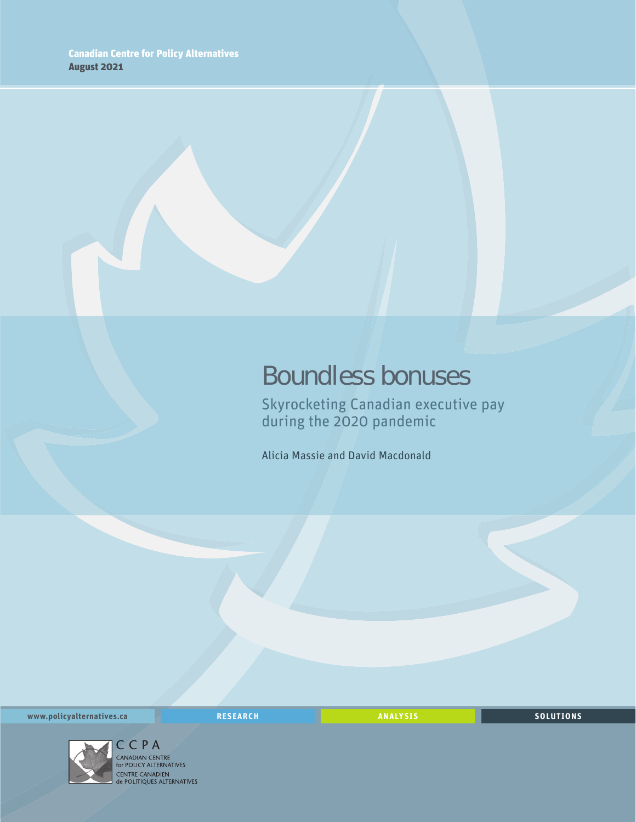## Boundless bonuses

Skyrocketing Canadian executive pay during the 2020 pandemic

Alicia Massie and David Macdonald

**www.policyalternatives.ca** RESEARCH ANALYSIS SOLUTIONS



CCPA<br>CANADIAN CENTRE<br>for POLICY ALTERNATIVES CENTRE CANADIEN<br>
de POLITIQUES ALTERNATIVES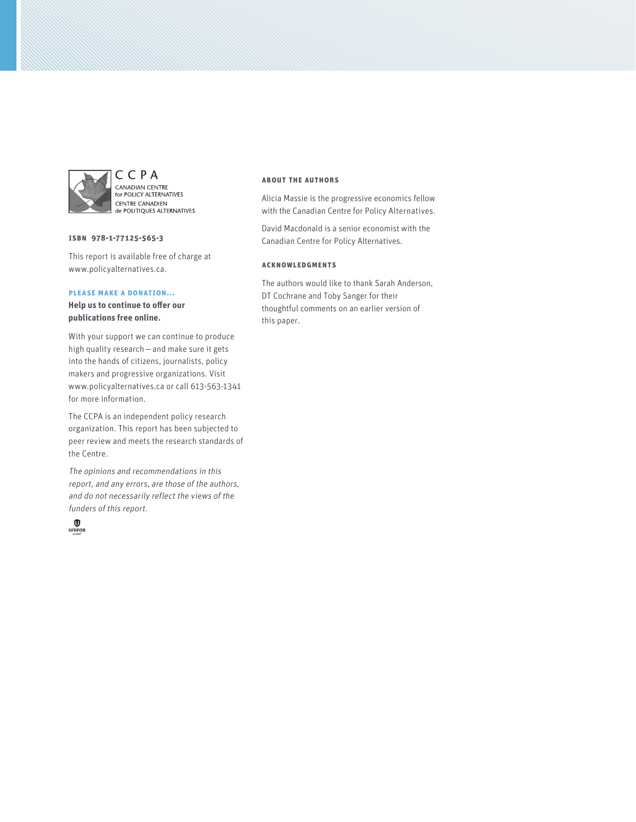

CCPA CANADIAN CENTRE<br>for POLICY ALTERNATIVES **CENTRE CANADIEN CENTRE CANADIEN** 

#### **isbn 978-1-77125-565-3**

This report is available free of charge at www.policyalternatives.ca.

#### **please make a donation...**

**Help us to continue to offer our publications free online.**

With your support we can continue to produce high quality research — and make sure it gets into the hands of citizens, journalists, policy makers and progressive organizations. Visit www.policyalternatives.ca or call 613-563-1341 for more information.

The CCPA is an independent policy research organization. This report has been subjected to peer review and meets the research standards of the Centre.

The opinions and recommendations in this report, and any errors, are those of the authors, and do not necessarily reflect the views of the funders of this report.



#### **about the authors**

Alicia Massie is the progressive economics fellow with the Canadian Centre for Policy Alternatives.

David Macdonald is a senior economist with the Canadian Centre for Policy Alternatives.

#### **acknowledgments**

The authors would like to thank Sarah Anderson, DT Cochrane and Toby Sanger for their thoughtful comments on an earlier version of this paper.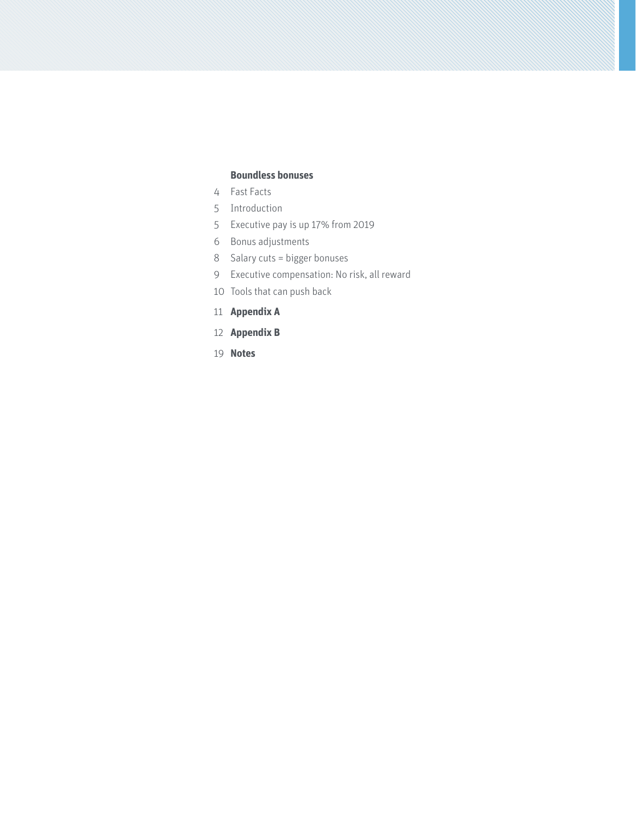#### **Boundless bonuses**

- 4 Fast Facts
- 5 Introduction
- 5 Executive pay is up 17% from 2019
- 6 Bonus adjustments
- 8 Salary cuts = bigger bonuses
- 9 Executive compensation: No risk, all reward
- 10 Tools that can push back
- 11 **Appendix A**
- 12 **Appendix B**
- 19 **Notes**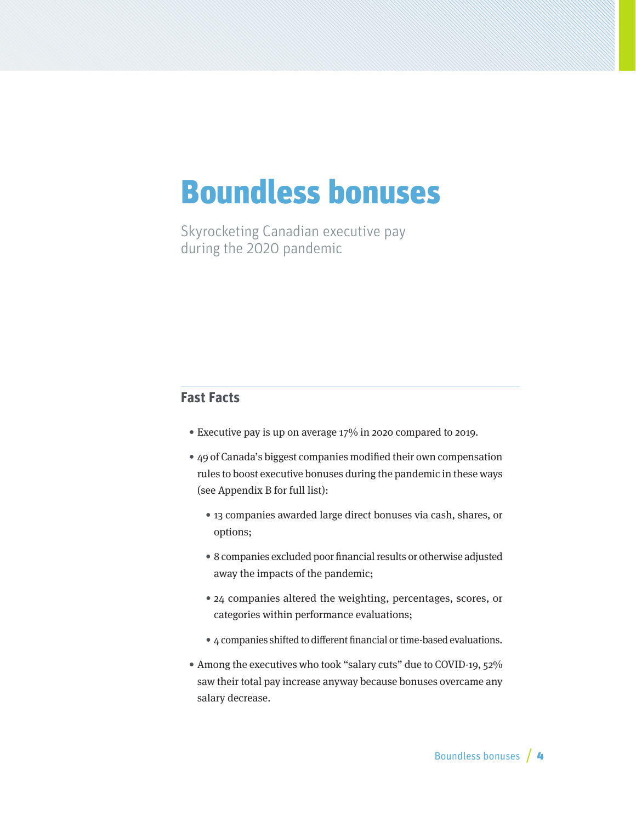## Boundless bonuses

Skyrocketing Canadian executive pay during the 2020 pandemic

## **Fast Facts**

- Executive pay is up on average 17% in 2020 compared to 2019.
- 49 of Canada's biggest companies modified their own compensation rules to boost executive bonuses during the pandemic in these ways (see Appendix B for full list):
	- 13 companies awarded large direct bonuses via cash, shares, or options;
	- 8 companies excluded poor financial results or otherwise adjusted away the impacts of the pandemic;
	- 24 companies altered the weighting, percentages, scores, or categories within performance evaluations;
	- 4 companies shifted to different financial or time-based evaluations.
- Among the executives who took "salary cuts" due to COVID-19, 52% saw their total pay increase anyway because bonuses overcame any salary decrease.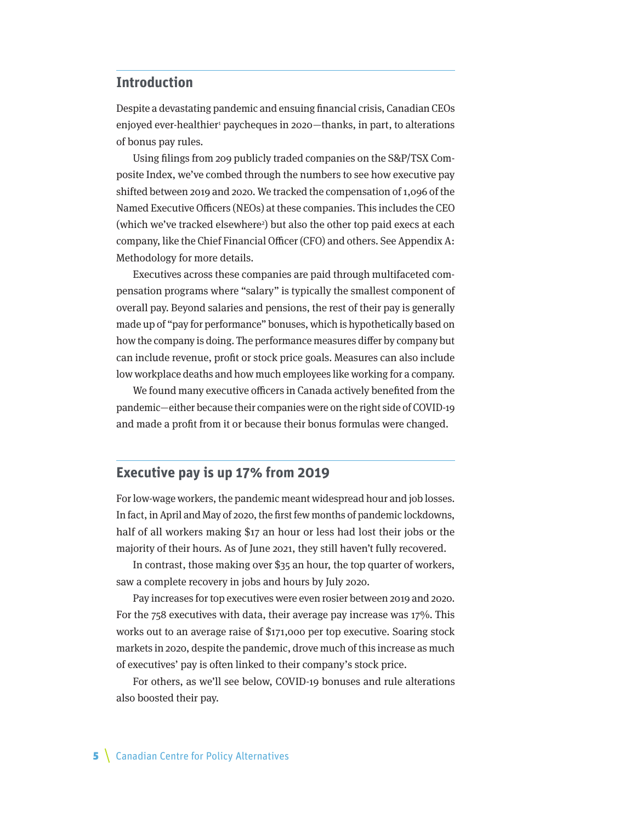### **Introduction**

Despite a devastating pandemic and ensuing financial crisis, Canadian CEOs enjoyed ever-healthier<sup>1</sup> paycheques in 2020—thanks, in part, to alterations of bonus pay rules.

Using filings from 209 publicly traded companies on the S&P/TSX Composite Index, we've combed through the numbers to see how executive pay shifted between 2019 and 2020. We tracked the compensation of 1,096 of the Named Executive Officers (NEOs) at these companies. This includes the CEO (which we've tracked elsewhere<sup>2</sup>) but also the other top paid execs at each company, like the Chief Financial Officer (CFO) and others. See Appendix A: Methodology for more details.

Executives across these companies are paid through multifaceted compensation programs where "salary" is typically the smallest component of overall pay. Beyond salaries and pensions, the rest of their pay is generally made up of "pay for performance" bonuses, which is hypothetically based on how the company is doing. The performance measures differ by company but can include revenue, profit or stock price goals. Measures can also include low workplace deaths and how much employees like working for a company.

We found many executive officers in Canada actively benefited from the pandemic—either because their companies were on the right side of COVID-19 and made a profit from it or because their bonus formulas were changed.

## **Executive pay is up 17% from 2019**

For low-wage workers, the pandemic meant widespread hour and job losses. In fact, in April and May of 2020, the first few months of pandemic lockdowns, half of all workers making \$17 an hour or less had lost their jobs or the majority of their hours. As of June 2021, they still haven't fully recovered.

In contrast, those making over \$35 an hour, the top quarter of workers, saw a complete recovery in jobs and hours by July 2020.

Pay increases for top executives were even rosier between 2019 and 2020. For the 758 executives with data, their average pay increase was 17%. This works out to an average raise of \$171,000 per top executive. Soaring stock markets in 2020, despite the pandemic, drove much of this increase as much of executives' pay is often linked to their company's stock price.

For others, as we'll see below, COVID-19 bonuses and rule alterations also boosted their pay.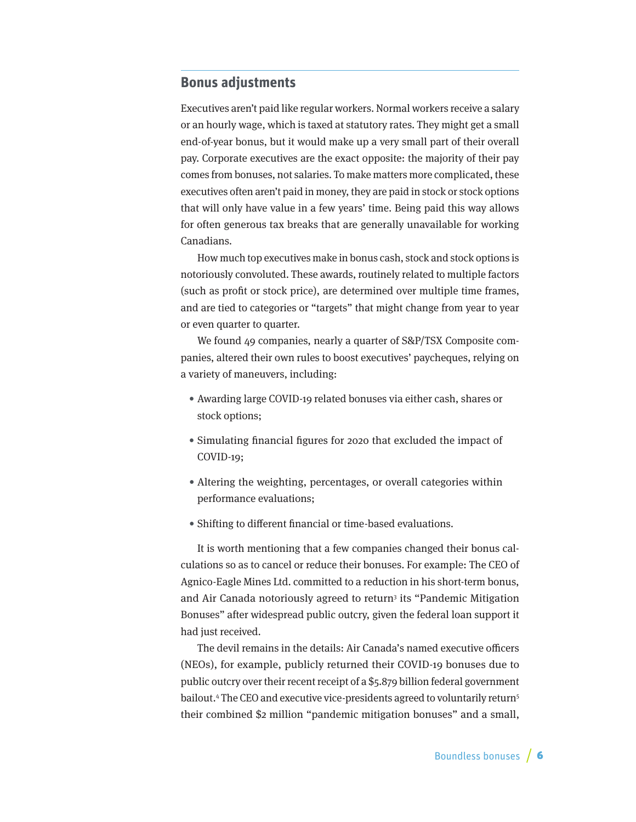## **Bonus adjustments**

Executives aren't paid like regular workers. Normal workers receive a salary or an hourly wage, which is taxed at statutory rates. They might get a small end-of-year bonus, but it would make up a very small part of their overall pay. Corporate executives are the exact opposite: the majority of their pay comes from bonuses, not salaries. To make matters more complicated, these executives often aren't paid in money, they are paid in stock or stock options that will only have value in a few years' time. Being paid this way allows for often generous tax breaks that are generally unavailable for working Canadians.

How much top executives make in bonus cash, stock and stock options is notoriously convoluted. These awards, routinely related to multiple factors (such as profit or stock price), are determined over multiple time frames, and are tied to categories or "targets" that might change from year to year or even quarter to quarter.

We found 49 companies, nearly a quarter of S&P/TSX Composite companies, altered their own rules to boost executives' paycheques, relying on a variety of maneuvers, including:

- Awarding large COVID-19 related bonuses via either cash, shares or stock options;
- Simulating financial figures for 2020 that excluded the impact of COVID-19;
- Altering the weighting, percentages, or overall categories within performance evaluations;
- Shifting to different financial or time-based evaluations.

It is worth mentioning that a few companies changed their bonus calculations so as to cancel or reduce their bonuses. For example: The CEO of Agnico-Eagle Mines Ltd. committed to a reduction in his short-term bonus, and Air Canada notoriously agreed to return<sup>3</sup> its "Pandemic Mitigation Bonuses" after widespread public outcry, given the federal loan support it had just received.

The devil remains in the details: Air Canada's named executive officers (NEOs), for example, publicly returned their COVID-19 bonuses due to public outcry over their recent receipt of a \$5.879 billion federal government bailout.<sup>4</sup> The CEO and executive vice-presidents agreed to voluntarily return<sup>5</sup> their combined \$2 million "pandemic mitigation bonuses" and a small,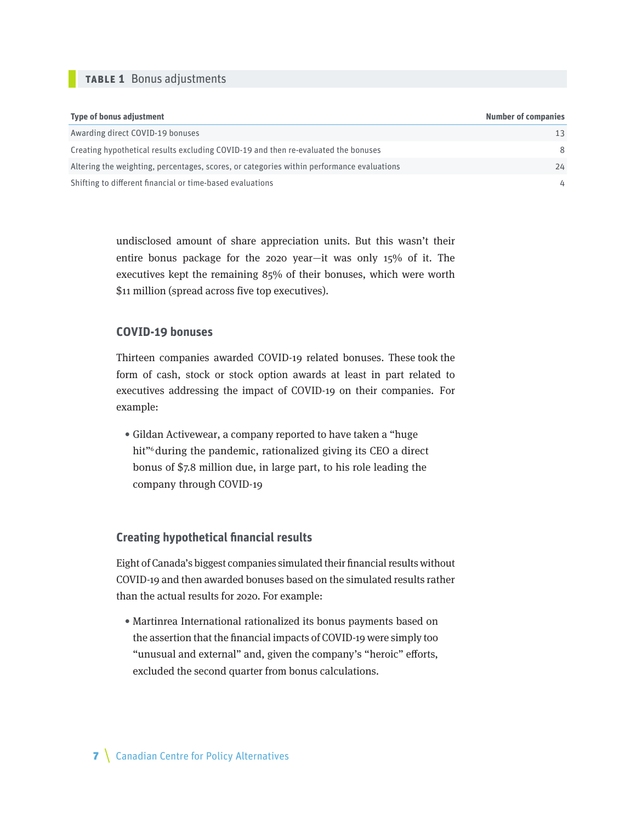#### **table 1** Bonus adjustments

| <b>Type of bonus adjustment</b>                                                           | <b>Number of companies</b> |
|-------------------------------------------------------------------------------------------|----------------------------|
| Awarding direct COVID-19 bonuses                                                          | 13                         |
| Creating hypothetical results excluding COVID-19 and then re-evaluated the bonuses        | 8                          |
| Altering the weighting, percentages, scores, or categories within performance evaluations | 24                         |
| Shifting to different financial or time-based evaluations                                 | 4                          |

undisclosed amount of share appreciation units. But this wasn't their entire bonus package for the 2020 year—it was only 15% of it. The executives kept the remaining 85% of their bonuses, which were worth \$11 million (spread across five top executives).

#### **COVID-19 bonuses**

Thirteen companies awarded COVID-19 related bonuses. These took the form of cash, stock or stock option awards at least in part related to executives addressing the impact of COVID-19 on their companies. For example:

• Gildan Activewear, a company reported to have taken a "huge hit"<sup>6</sup> during the pandemic, rationalized giving its CEO a direct bonus of \$7.8 million due, in large part, to his role leading the company through COVID-19

#### **Creating hypothetical financial results**

Eight of Canada's biggest companies simulated their financial results without COVID-19 and then awarded bonuses based on the simulated results rather than the actual results for 2020. For example:

• Martinrea International rationalized its bonus payments based on the assertion that the financial impacts of COVID-19 were simply too "unusual and external" and, given the company's "heroic" efforts, excluded the second quarter from bonus calculations.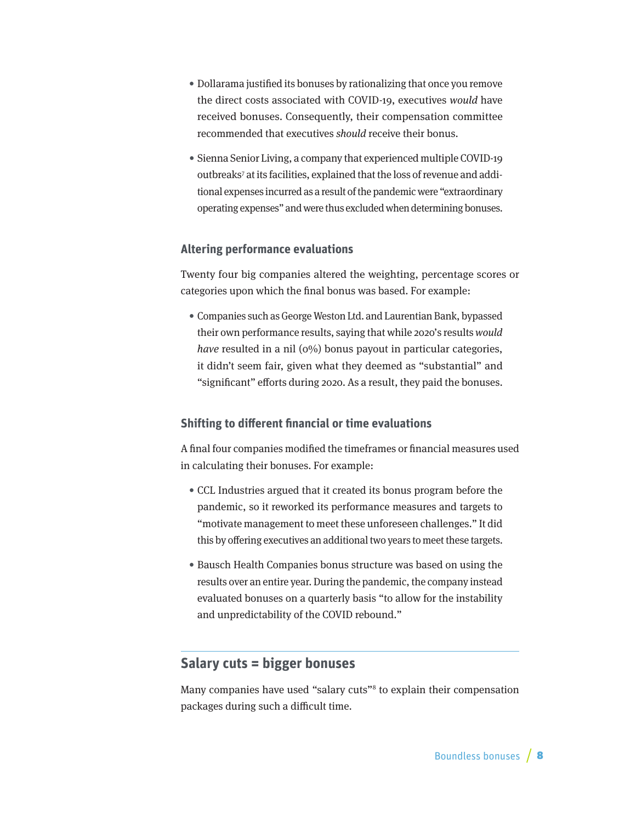- Dollarama justified its bonuses by rationalizing that once you remove the direct costs associated with COVID-19, executives would have received bonuses. Consequently, their compensation committee recommended that executives should receive their bonus.
- Sienna Senior Living, a company that experienced multiple COVID-19 outbreaks<sup>7</sup> at its facilities, explained that the loss of revenue and additional expenses incurred as a result of the pandemic were "extraordinary operating expenses" and were thus excluded when determining bonuses.

#### **Altering performance evaluations**

Twenty four big companies altered the weighting, percentage scores or categories upon which the final bonus was based. For example:

• Companies such as George Weston Ltd. and Laurentian Bank, bypassed their own performance results, saying that while 2020's results would have resulted in a nil  $(0\%)$  bonus payout in particular categories, it didn't seem fair, given what they deemed as "substantial" and "significant" efforts during 2020. As a result, they paid the bonuses.

#### **Shifting to different financial or time evaluations**

A final four companies modified the timeframes or financial measures used in calculating their bonuses. For example:

- CCL Industries argued that it created its bonus program before the pandemic, so it reworked its performance measures and targets to "motivate management to meet these unforeseen challenges." It did this by offering executives an additional two years to meet these targets.
- Bausch Health Companies bonus structure was based on using the results over an entire year. During the pandemic, the company instead evaluated bonuses on a quarterly basis "to allow for the instability and unpredictability of the COVID rebound."

## **Salary cuts = bigger bonuses**

Many companies have used "salary cuts"<sup>8</sup> to explain their compensation packages during such a difficult time.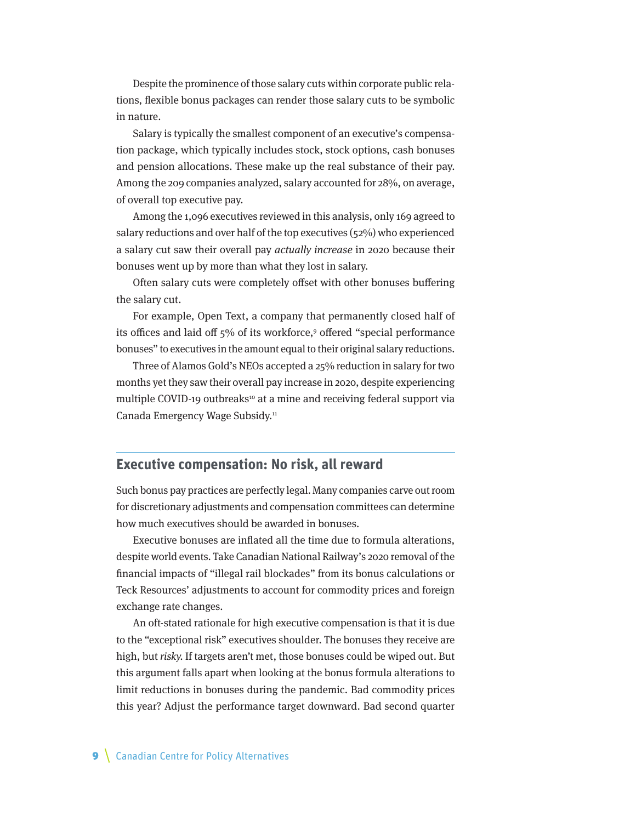Despite the prominence of those salary cuts within corporate public relations, flexible bonus packages can render those salary cuts to be symbolic in nature.

Salary is typically the smallest component of an executive's compensation package, which typically includes stock, stock options, cash bonuses and pension allocations. These make up the real substance of their pay. Among the 209 companies analyzed, salary accounted for 28%, on average, of overall top executive pay.

Among the 1,096 executives reviewed in this analysis, only 169 agreed to salary reductions and over half of the top executives (52%) who experienced a salary cut saw their overall pay actually increase in 2020 because their bonuses went up by more than what they lost in salary.

Often salary cuts were completely offset with other bonuses buffering the salary cut.

For example, Open Text, a company that permanently closed half of its offices and laid off 5% of its workforce,<sup>9</sup> offered "special performance bonuses" to executives in the amount equal to their original salary reductions.

Three of Alamos Gold's NEOs accepted a 25% reduction in salary for two months yet they saw their overall pay increase in 2020, despite experiencing multiple COVID-19 outbreaks<sup>10</sup> at a mine and receiving federal support via Canada Emergency Wage Subsidy.11

### **Executive compensation: No risk, all reward**

Such bonus pay practices are perfectly legal. Many companies carve out room for discretionary adjustments and compensation committees can determine how much executives should be awarded in bonuses.

Executive bonuses are inflated all the time due to formula alterations, despite world events. Take Canadian National Railway's 2020 removal of the financial impacts of "illegal rail blockades" from its bonus calculations or Teck Resources' adjustments to account for commodity prices and foreign exchange rate changes.

An oft-stated rationale for high executive compensation is that it is due to the "exceptional risk" executives shoulder. The bonuses they receive are high, but risky. If targets aren't met, those bonuses could be wiped out. But this argument falls apart when looking at the bonus formula alterations to limit reductions in bonuses during the pandemic. Bad commodity prices this year? Adjust the performance target downward. Bad second quarter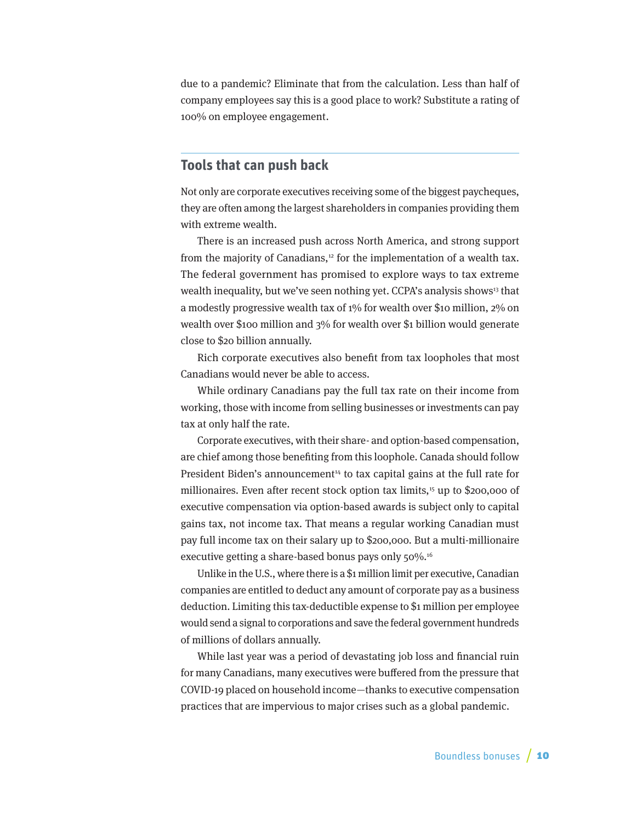due to a pandemic? Eliminate that from the calculation. Less than half of company employees say this is a good place to work? Substitute a rating of 100% on employee engagement.

## **Tools that can push back**

Not only are corporate executives receiving some of the biggest paycheques, they are often among the largest shareholders in companies providing them with extreme wealth.

There is an increased push across North America, and strong support from the majority of Canadians, $12$  for the implementation of a wealth tax. The federal government has promised to explore ways to tax extreme wealth inequality, but we've seen nothing yet. CCPA's analysis shows<sup>13</sup> that a modestly progressive wealth tax of 1% for wealth over \$10 million, 2% on wealth over \$100 million and 3% for wealth over \$1 billion would generate close to \$20 billion annually.

Rich corporate executives also benefit from tax loopholes that most Canadians would never be able to access.

While ordinary Canadians pay the full tax rate on their income from working, those with income from selling businesses or investments can pay tax at only half the rate.

Corporate executives, with their share- and option-based compensation, are chief among those benefiting from this loophole. Canada should follow President Biden's announcement<sup>14</sup> to tax capital gains at the full rate for millionaires. Even after recent stock option tax limits,<sup>15</sup> up to \$200,000 of executive compensation via option-based awards is subject only to capital gains tax, not income tax. That means a regular working Canadian must pay full income tax on their salary up to \$200,000. But a multi-millionaire executive getting a share-based bonus pays only 50%.<sup>16</sup>

Unlike in the U.S., where there is a \$1 million limit per executive, Canadian companies are entitled to deduct any amount of corporate pay as a business deduction. Limiting this tax-deductible expense to \$1 million per employee would send a signal to corporations and save the federal government hundreds of millions of dollars annually.

While last year was a period of devastating job loss and financial ruin for many Canadians, many executives were buffered from the pressure that COVID-19 placed on household income—thanks to executive compensation practices that are impervious to major crises such as a global pandemic.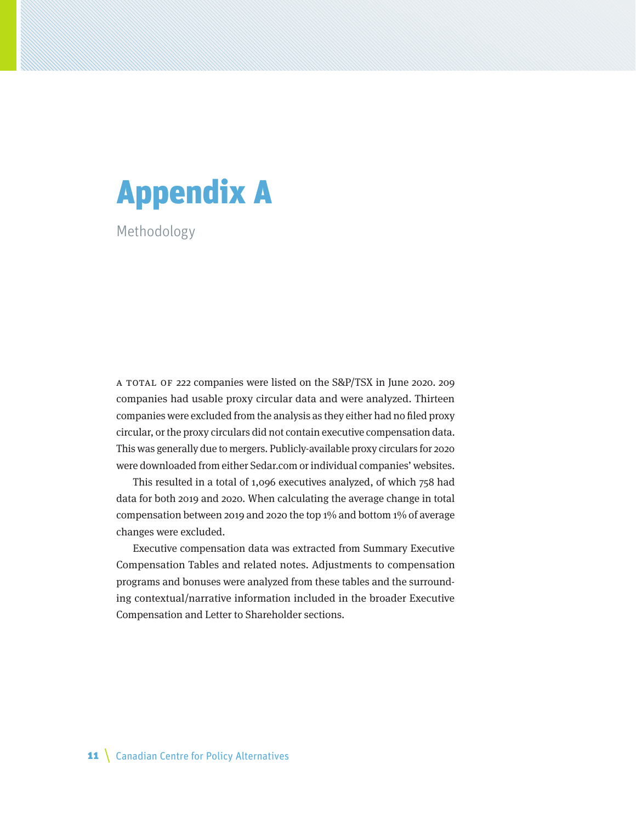# Appendix A

Methodology

a total of 222 companies were listed on the S&P/TSX in June 2020. 209 companies had usable proxy circular data and were analyzed. Thirteen companies were excluded from the analysis as they either had no filed proxy circular, or the proxy circulars did not contain executive compensation data. This was generally due to mergers. Publicly-available proxy circulars for 2020 were downloaded from either Sedar.com or individual companies' websites.

This resulted in a total of 1,096 executives analyzed, of which 758 had data for both 2019 and 2020. When calculating the average change in total compensation between 2019 and 2020 the top 1% and bottom 1% of average changes were excluded.

Executive compensation data was extracted from Summary Executive Compensation Tables and related notes. Adjustments to compensation programs and bonuses were analyzed from these tables and the surrounding contextual/narrative information included in the broader Executive Compensation and Letter to Shareholder sections.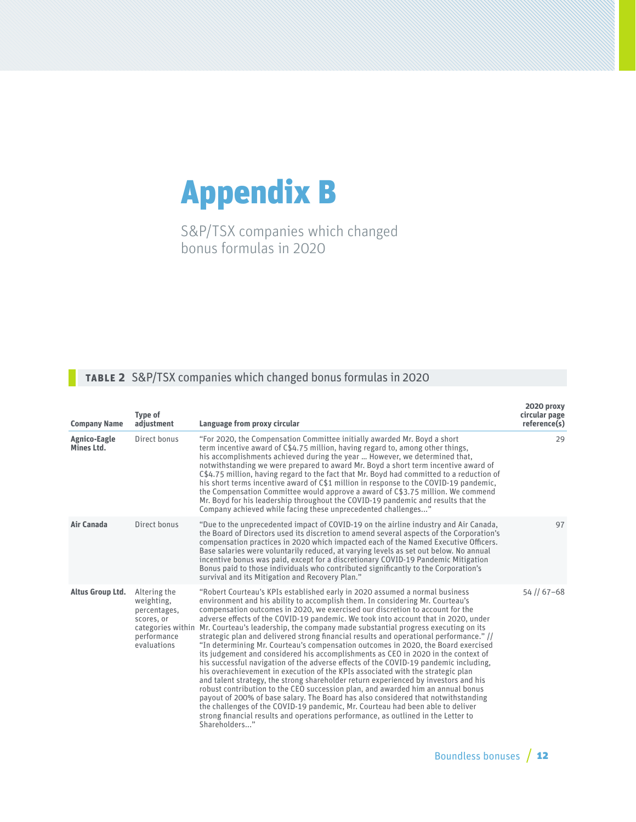# Appendix B

S&P/TSX companies which changed bonus formulas in 2020

## **table 2** S&P/TSX companies which changed bonus formulas in 2020

| <b>Company Name</b>               | <b>Type of</b><br>adjustment                                                                                | Language from proxy circular                                                                                                                                                                                                                                                                                                                                                                                                                                                                                                                                                                                                                                                                                                                                                                                                                                                                                                                                                                                                                                                                                                                                                                                                                                                                                                   | 2020 proxy<br>circular page<br>reference(s) |
|-----------------------------------|-------------------------------------------------------------------------------------------------------------|--------------------------------------------------------------------------------------------------------------------------------------------------------------------------------------------------------------------------------------------------------------------------------------------------------------------------------------------------------------------------------------------------------------------------------------------------------------------------------------------------------------------------------------------------------------------------------------------------------------------------------------------------------------------------------------------------------------------------------------------------------------------------------------------------------------------------------------------------------------------------------------------------------------------------------------------------------------------------------------------------------------------------------------------------------------------------------------------------------------------------------------------------------------------------------------------------------------------------------------------------------------------------------------------------------------------------------|---------------------------------------------|
| <b>Agnico-Eagle</b><br>Mines Ltd. | Direct bonus                                                                                                | "For 2020, the Compensation Committee initially awarded Mr. Boyd a short<br>term incentive award of C\$4.75 million, having regard to, among other things,<br>his accomplishments achieved during the year  However, we determined that,<br>notwithstanding we were prepared to award Mr. Boyd a short term incentive award of<br>C\$4.75 million, having regard to the fact that Mr. Boyd had committed to a reduction of<br>his short terms incentive award of C\$1 million in response to the COVID-19 pandemic,<br>the Compensation Committee would approve a award of C\$3.75 million. We commend<br>Mr. Boyd for his leadership throughout the COVID-19 pandemic and results that the<br>Company achieved while facing these unprecedented challenges"                                                                                                                                                                                                                                                                                                                                                                                                                                                                                                                                                                   | 29                                          |
| Air Canada                        | Direct bonus                                                                                                | "Due to the unprecedented impact of COVID-19 on the airline industry and Air Canada,<br>the Board of Directors used its discretion to amend several aspects of the Corporation's<br>compensation practices in 2020 which impacted each of the Named Executive Officers.<br>Base salaries were voluntarily reduced, at varying levels as set out below. No annual<br>incentive bonus was paid, except for a discretionary COVID-19 Pandemic Mitigation<br>Bonus paid to those individuals who contributed significantly to the Corporation's<br>survival and its Mitigation and Recovery Plan."                                                                                                                                                                                                                                                                                                                                                                                                                                                                                                                                                                                                                                                                                                                                 | 97                                          |
| Altus Group Ltd.                  | Altering the<br>weighting,<br>percentages,<br>scores, or<br>categories within<br>performance<br>evaluations | "Robert Courteau's KPIs established early in 2020 assumed a normal business<br>environment and his ability to accomplish them. In considering Mr. Courteau's<br>compensation outcomes in 2020, we exercised our discretion to account for the<br>adverse effects of the COVID-19 pandemic. We took into account that in 2020, under<br>Mr. Courteau's leadership, the company made substantial progress executing on its<br>strategic plan and delivered strong financial results and operational performance." //<br>"In determining Mr. Courteau's compensation outcomes in 2020, the Board exercised<br>its judgement and considered his accomplishments as CEO in 2020 in the context of<br>his successful navigation of the adverse effects of the COVID-19 pandemic including,<br>his overachievement in execution of the KPIs associated with the strategic plan<br>and talent strategy, the strong shareholder return experienced by investors and his<br>robust contribution to the CEO succession plan, and awarded him an annual bonus<br>payout of 200% of base salary. The Board has also considered that notwithstanding<br>the challenges of the COVID-19 pandemic, Mr. Courteau had been able to deliver<br>strong financial results and operations performance, as outlined in the Letter to<br>Shareholders" | 54 // 67-68                                 |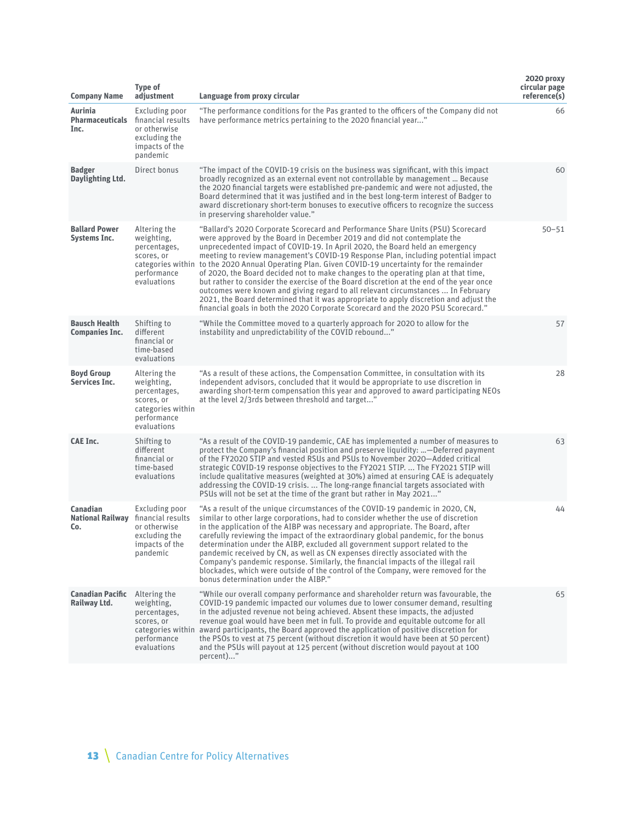| <b>Company Name</b>                               | <b>Type of</b><br>adjustment                                                                                | Language from proxy circular                                                                                                                                                                                                                                                                                                                                                                                                                                                                                                                                                                                                                                                                                                                                                                                                                                                            | 2020 proxy<br>circular page<br>reference(s) |
|---------------------------------------------------|-------------------------------------------------------------------------------------------------------------|-----------------------------------------------------------------------------------------------------------------------------------------------------------------------------------------------------------------------------------------------------------------------------------------------------------------------------------------------------------------------------------------------------------------------------------------------------------------------------------------------------------------------------------------------------------------------------------------------------------------------------------------------------------------------------------------------------------------------------------------------------------------------------------------------------------------------------------------------------------------------------------------|---------------------------------------------|
| Aurinia<br><b>Pharmaceuticals</b><br>Inc.         | Excluding poor<br>financial results<br>or otherwise<br>excluding the<br>impacts of the<br>pandemic          | "The performance conditions for the Pas granted to the officers of the Company did not<br>have performance metrics pertaining to the 2020 financial year"                                                                                                                                                                                                                                                                                                                                                                                                                                                                                                                                                                                                                                                                                                                               | 66                                          |
| <b>Badger</b><br>Daylighting Ltd.                 | Direct bonus                                                                                                | "The impact of the COVID-19 crisis on the business was significant, with this impact<br>broadly recognized as an external event not controllable by management  Because<br>the 2020 financial targets were established pre-pandemic and were not adjusted, the<br>Board determined that it was justified and in the best long-term interest of Badger to<br>award discretionary short-term bonuses to executive officers to recognize the success<br>in preserving shareholder value."                                                                                                                                                                                                                                                                                                                                                                                                  | 60                                          |
| <b>Ballard Power</b><br><b>Systems Inc.</b>       | Altering the<br>weighting,<br>percentages,<br>scores, or<br>performance<br>evaluations                      | "Ballard's 2020 Corporate Scorecard and Performance Share Units (PSU) Scorecard<br>were approved by the Board in December 2019 and did not contemplate the<br>unprecedented impact of COVID-19. In April 2020, the Board held an emergency<br>meeting to review management's COVID-19 Response Plan, including potential impact<br>categories within to the 2020 Annual Operating Plan. Given COVID-19 uncertainty for the remainder<br>of 2020, the Board decided not to make changes to the operating plan at that time,<br>but rather to consider the exercise of the Board discretion at the end of the year once<br>outcomes were known and giving regard to all relevant circumstances  In February<br>2021, the Board determined that it was appropriate to apply discretion and adjust the<br>financial goals in both the 2020 Corporate Scorecard and the 2020 PSU Scorecard." | $50 - 51$                                   |
| <b>Bausch Health</b><br><b>Companies Inc.</b>     | Shifting to<br>different<br>financial or<br>time-based<br>evaluations                                       | "While the Committee moved to a quarterly approach for 2020 to allow for the<br>instability and unpredictability of the COVID rebound"                                                                                                                                                                                                                                                                                                                                                                                                                                                                                                                                                                                                                                                                                                                                                  | 57                                          |
| <b>Boyd Group</b><br>Services Inc.                | Altering the<br>weighting,<br>percentages,<br>scores, or<br>categories within<br>performance<br>evaluations | "As a result of these actions, the Compensation Committee, in consultation with its<br>independent advisors, concluded that it would be appropriate to use discretion in<br>awarding short-term compensation this year and approved to award participating NEOs<br>at the level 2/3rds between threshold and target"                                                                                                                                                                                                                                                                                                                                                                                                                                                                                                                                                                    | 28                                          |
| <b>CAE Inc.</b>                                   | Shifting to<br>different<br>financial or<br>time-based<br>evaluations                                       | "As a result of the COVID-19 pandemic, CAE has implemented a number of measures to<br>protect the Company's financial position and preserve liquidity: —Deferred payment<br>of the FY2020 STIP and vested RSUs and PSUs to November 2020—Added critical<br>strategic COVID-19 response objectives to the FY2O21 STIP.  The FY2O21 STIP will<br>include qualitative measures (weighted at 30%) aimed at ensuring CAE is adequately<br>addressing the COVID-19 crisis.  The long-range financial targets associated with<br>PSUs will not be set at the time of the grant but rather in May 2021"                                                                                                                                                                                                                                                                                         | 63                                          |
| <b>Canadian</b><br><b>National Railway</b><br>Co. | Excluding poor<br>financial results<br>or otherwise<br>excluding the<br>impacts of the<br>pandemic          | "As a result of the unique circumstances of the COVID-19 pandemic in 2020, CN,<br>similar to other large corporations, had to consider whether the use of discretion<br>in the application of the AIBP was necessary and appropriate. The Board, after<br>carefully reviewing the impact of the extraordinary global pandemic, for the bonus<br>determination under the AIBP, excluded all government support related to the<br>pandemic received by CN, as well as CN expenses directly associated with the<br>Company's pandemic response. Similarly, the financial impacts of the illegal rail<br>blockades, which were outside of the control of the Company, were removed for the<br>bonus determination under the AIBP."                                                                                                                                                          | 44                                          |
| <b>Canadian Pacific</b><br>Railway Ltd.           | Altering the<br>weighting,<br>percentages,<br>scores, or<br>performance<br>evaluations                      | "While our overall company performance and shareholder return was favourable, the<br>COVID-19 pandemic impacted our volumes due to lower consumer demand, resulting<br>in the adjusted revenue not being achieved. Absent these impacts, the adjusted<br>revenue goal would have been met in full. To provide and equitable outcome for all<br>categories within award participants, the Board approved the application of positive discretion for<br>the PSOs to vest at 75 percent (without discretion it would have been at 50 percent)<br>and the PSUs will payout at 125 percent (without discretion would payout at 100<br>percent)"                                                                                                                                                                                                                                              | 65                                          |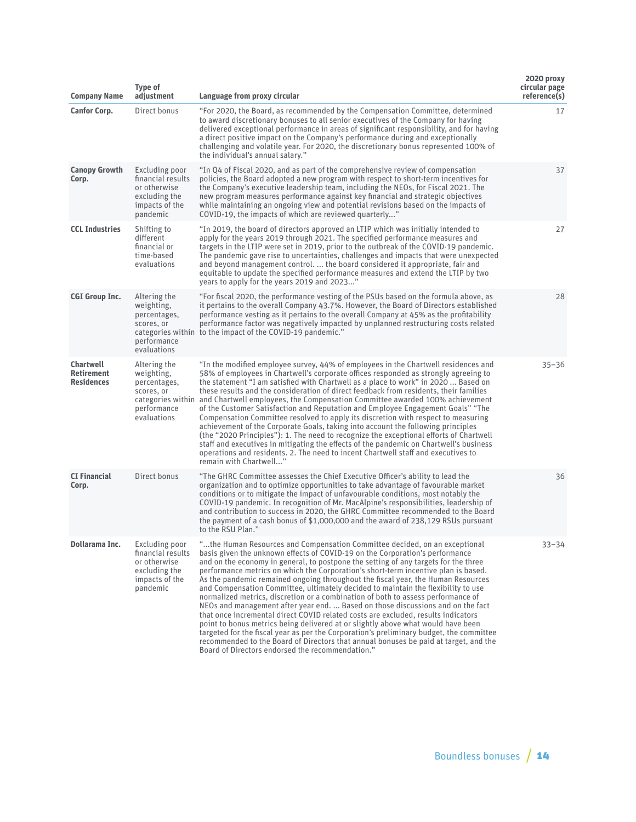| <b>Company Name</b>                                        | <b>Type of</b><br>adjustment                                                                       | Language from proxy circular                                                                                                                                                                                                                                                                                                                                                                                                                                                                                                                                                                                                                                                                                                                                                                                                                                                                                                                                                                                                                                                                            | 2020 proxy<br>circular page<br>reference(s) |
|------------------------------------------------------------|----------------------------------------------------------------------------------------------------|---------------------------------------------------------------------------------------------------------------------------------------------------------------------------------------------------------------------------------------------------------------------------------------------------------------------------------------------------------------------------------------------------------------------------------------------------------------------------------------------------------------------------------------------------------------------------------------------------------------------------------------------------------------------------------------------------------------------------------------------------------------------------------------------------------------------------------------------------------------------------------------------------------------------------------------------------------------------------------------------------------------------------------------------------------------------------------------------------------|---------------------------------------------|
| <b>Canfor Corp.</b>                                        | Direct bonus                                                                                       | "For 2020, the Board, as recommended by the Compensation Committee, determined<br>to award discretionary bonuses to all senior executives of the Company for having<br>delivered exceptional performance in areas of significant responsibility, and for having<br>a direct positive impact on the Company's performance during and exceptionally<br>challenging and volatile year. For 2020, the discretionary bonus represented 100% of<br>the individual's annual salary."                                                                                                                                                                                                                                                                                                                                                                                                                                                                                                                                                                                                                           | 17                                          |
| <b>Canopy Growth</b><br>Corp.                              | Excluding poor<br>financial results<br>or otherwise<br>excluding the<br>impacts of the<br>pandemic | "In Q4 of Fiscal 2020, and as part of the comprehensive review of compensation<br>policies, the Board adopted a new program with respect to short-term incentives for<br>the Company's executive leadership team, including the NEOs, for Fiscal 2021. The<br>new program measures performance against key financial and strategic objectives<br>while maintaining an ongoing view and potential revisions based on the impacts of<br>COVID-19, the impacts of which are reviewed quarterly"                                                                                                                                                                                                                                                                                                                                                                                                                                                                                                                                                                                                            | 37                                          |
| <b>CCL Industries</b>                                      | Shifting to<br>different<br>financial or<br>time-based<br>evaluations                              | "In 2019, the board of directors approved an LTIP which was initially intended to<br>apply for the years 2019 through 2021. The specified performance measures and<br>targets in the LTIP were set in 2019, prior to the outbreak of the COVID-19 pandemic.<br>The pandemic gave rise to uncertainties, challenges and impacts that were unexpected<br>and beyond management control.  the board considered it appropriate, fair and<br>equitable to update the specified performance measures and extend the LTIP by two<br>years to apply for the years 2019 and 2023"                                                                                                                                                                                                                                                                                                                                                                                                                                                                                                                                | 27                                          |
| <b>CGI Group Inc.</b>                                      | Altering the<br>weighting,<br>percentages,<br>scores, or<br>performance<br>evaluations             | "For fiscal 2020, the performance vesting of the PSUs based on the formula above, as<br>it pertains to the overall Company 43.7%. However, the Board of Directors established<br>performance vesting as it pertains to the overall Company at 45% as the profitability<br>performance factor was negatively impacted by unplanned restructuring costs related<br>categories within to the impact of the COVID-19 pandemic."                                                                                                                                                                                                                                                                                                                                                                                                                                                                                                                                                                                                                                                                             | 28                                          |
| <b>Chartwell</b><br><b>Retirement</b><br><b>Residences</b> | Altering the<br>weighting,<br>percentages,<br>scores, or<br>performance<br>evaluations             | "In the modified employee survey, 44% of employees in the Chartwell residences and<br>58% of employees in Chartwell's corporate offices responded as strongly agreeing to<br>the statement "I am satisfied with Chartwell as a place to work" in 2020  Based on<br>these results and the consideration of direct feedback from residents, their families<br>categories within and Chartwell employees, the Compensation Committee awarded 100% achievement<br>of the Customer Satisfaction and Reputation and Employee Engagement Goals" "The<br>Compensation Committee resolved to apply its discretion with respect to measuring<br>achievement of the Corporate Goals, taking into account the following principles<br>(the "2020 Principles"): 1. The need to recognize the exceptional efforts of Chartwell<br>staff and executives in mitigating the effects of the pandemic on Chartwell's business<br>operations and residents. 2. The need to incent Chartwell staff and executives to<br>remain with Chartwell"                                                                               | $35 - 36$                                   |
| <b>CI Financial</b><br>Corp.                               | Direct bonus                                                                                       | "The GHRC Committee assesses the Chief Executive Officer's ability to lead the<br>organization and to optimize opportunities to take advantage of favourable market<br>conditions or to mitigate the impact of unfavourable conditions, most notably the<br>COVID-19 pandemic. In recognition of Mr. MacAlpine's responsibilities, leadership of<br>and contribution to success in 2020, the GHRC Committee recommended to the Board<br>the payment of a cash bonus of \$1,000,000 and the award of 238,129 RSUs pursuant<br>to the RSU Plan."                                                                                                                                                                                                                                                                                                                                                                                                                                                                                                                                                          | 36                                          |
| Dollarama Inc.                                             | Excluding poor<br>financial results<br>or otherwise<br>excluding the<br>impacts of the<br>pandemic | "the Human Resources and Compensation Committee decided, on an exceptional<br>basis given the unknown effects of COVID-19 on the Corporation's performance<br>and on the economy in general, to postpone the setting of any targets for the three<br>performance metrics on which the Corporation's short-term incentive plan is based.<br>As the pandemic remained ongoing throughout the fiscal year, the Human Resources<br>and Compensation Committee, ultimately decided to maintain the flexibility to use<br>normalized metrics, discretion or a combination of both to assess performance of<br>NEOs and management after year end.  Based on those discussions and on the fact<br>that once incremental direct COVID related costs are excluded, results indicators<br>point to bonus metrics being delivered at or slightly above what would have been<br>targeted for the fiscal year as per the Corporation's preliminary budget, the committee<br>recommended to the Board of Directors that annual bonuses be paid at target, and the<br>Board of Directors endorsed the recommendation." | $33 - 34$                                   |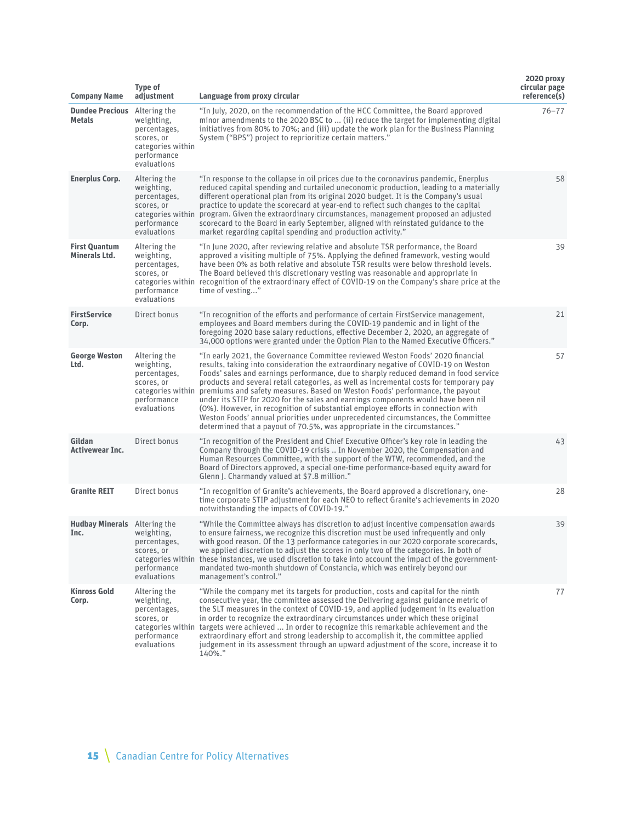| <b>Company Name</b>                          | <b>Type of</b><br>adjustment                                                                                | Language from proxy circular                                                                                                                                                                                                                                                                                                                                                                                                                                                                                                                                                                                                                                                                                                                                                      | 2020 proxy<br>circular page<br>reference(s) |
|----------------------------------------------|-------------------------------------------------------------------------------------------------------------|-----------------------------------------------------------------------------------------------------------------------------------------------------------------------------------------------------------------------------------------------------------------------------------------------------------------------------------------------------------------------------------------------------------------------------------------------------------------------------------------------------------------------------------------------------------------------------------------------------------------------------------------------------------------------------------------------------------------------------------------------------------------------------------|---------------------------------------------|
| <b>Dundee Precious</b><br><b>Metals</b>      | Altering the<br>weighting,<br>percentages,<br>scores, or<br>categories within<br>performance<br>evaluations | "In July, 2020, on the recommendation of the HCC Committee, the Board approved<br>minor amendments to the 2020 BSC to  (ii) reduce the target for implementing digital<br>initiatives from 80% to 70%; and (iii) update the work plan for the Business Planning<br>System ("BPS") project to reprioritize certain matters."                                                                                                                                                                                                                                                                                                                                                                                                                                                       | $76 - 77$                                   |
| <b>Enerplus Corp.</b>                        | Altering the<br>weighting,<br>percentages,<br>scores, or<br>performance<br>evaluations                      | "In response to the collapse in oil prices due to the coronavirus pandemic, Enerplus<br>reduced capital spending and curtailed uneconomic production, leading to a materially<br>different operational plan from its original 2020 budget. It is the Company's usual<br>practice to update the scorecard at year-end to reflect such changes to the capital<br>categories within program. Given the extraordinary circumstances, management proposed an adjusted<br>scorecard to the Board in early September, aligned with reinstated guidance to the<br>market regarding capital spending and production activity."                                                                                                                                                             | 58                                          |
| <b>First Quantum</b><br><b>Minerals Ltd.</b> | Altering the<br>weighting,<br>percentages,<br>scores, or<br>performance<br>evaluations                      | "In June 2020, after reviewing relative and absolute TSR performance, the Board<br>approved a visiting multiple of 75%. Applying the defined framework, vesting would<br>have been 0% as both relative and absolute TSR results were below threshold levels.<br>The Board believed this discretionary vesting was reasonable and appropriate in<br>categories within recognition of the extraordinary effect of COVID-19 on the Company's share price at the<br>time of vesting"                                                                                                                                                                                                                                                                                                  | 39                                          |
| <b>FirstService</b><br>Corp.                 | Direct bonus                                                                                                | "In recognition of the efforts and performance of certain FirstService management,<br>employees and Board members during the COVID-19 pandemic and in light of the<br>foregoing 2020 base salary reductions, effective December 2, 2020, an aggregate of<br>34,000 options were granted under the Option Plan to the Named Executive Officers."                                                                                                                                                                                                                                                                                                                                                                                                                                   | 21                                          |
| <b>George Weston</b><br>Ltd.                 | Altering the<br>weighting,<br>percentages,<br>scores, or<br>categories within<br>performance<br>evaluations | "In early 2021, the Governance Committee reviewed Weston Foods' 2020 financial<br>results, taking into consideration the extraordinary negative of COVID-19 on Weston<br>Foods' sales and earnings performance, due to sharply reduced demand in food service<br>products and several retail categories, as well as incremental costs for temporary pay<br>premiums and safety measures. Based on Weston Foods' performance, the payout<br>under its STIP for 2020 for the sales and earnings components would have been nil<br>(0%). However, in recognition of substantial employee efforts in connection with<br>Weston Foods' annual priorities under unprecedented circumstances, the Committee<br>determined that a payout of 70.5%, was appropriate in the circumstances." | 57                                          |
| Gildan<br><b>Activewear Inc.</b>             | Direct bonus                                                                                                | "In recognition of the President and Chief Executive Officer's key role in leading the<br>Company through the COVID-19 crisis  In November 2020, the Compensation and<br>Human Resources Committee, with the support of the WTW, recommended, and the<br>Board of Directors approved, a special one-time performance-based equity award for<br>Glenn J. Charmandy valued at \$7.8 million."                                                                                                                                                                                                                                                                                                                                                                                       | 43                                          |
| <b>Granite REIT</b>                          | Direct bonus                                                                                                | "In recognition of Granite's achievements, the Board approved a discretionary, one-<br>time corporate STIP adjustment for each NEO to reflect Granite's achievements in 2020<br>notwithstanding the impacts of COVID-19."                                                                                                                                                                                                                                                                                                                                                                                                                                                                                                                                                         | 28                                          |
| <b>Hudbay Minerals</b> Altering the<br>Inc.  | weighting,<br>percentages,<br>scores, or<br>performance<br>evaluations                                      | "While the Committee always has discretion to adjust incentive compensation awards<br>to ensure fairness, we recognize this discretion must be used infrequently and only<br>with good reason. Of the 13 performance categories in our 2020 corporate scorecards,<br>we applied discretion to adjust the scores in only two of the categories. In both of<br>categories within these instances, we used discretion to take into account the impact of the government-<br>mandated two-month shutdown of Constancia, which was entirely beyond our<br>management's control."                                                                                                                                                                                                       | 39                                          |
| <b>Kinross Gold</b><br>Corp.                 | Altering the<br>weighting,<br>percentages,<br>scores, or<br>performance<br>evaluations                      | "While the company met its targets for production, costs and capital for the ninth<br>consecutive year, the committee assessed the Delivering against guidance metric of<br>the SLT measures in the context of COVID-19, and applied judgement in its evaluation<br>in order to recognize the extraordinary circumstances under which these original<br>categories within targets were achieved  In order to recognize this remarkable achievement and the<br>extraordinary effort and strong leadership to accomplish it, the committee applied<br>judgement in its assessment through an upward adjustment of the score, increase it to<br>140%."                                                                                                                               | 77                                          |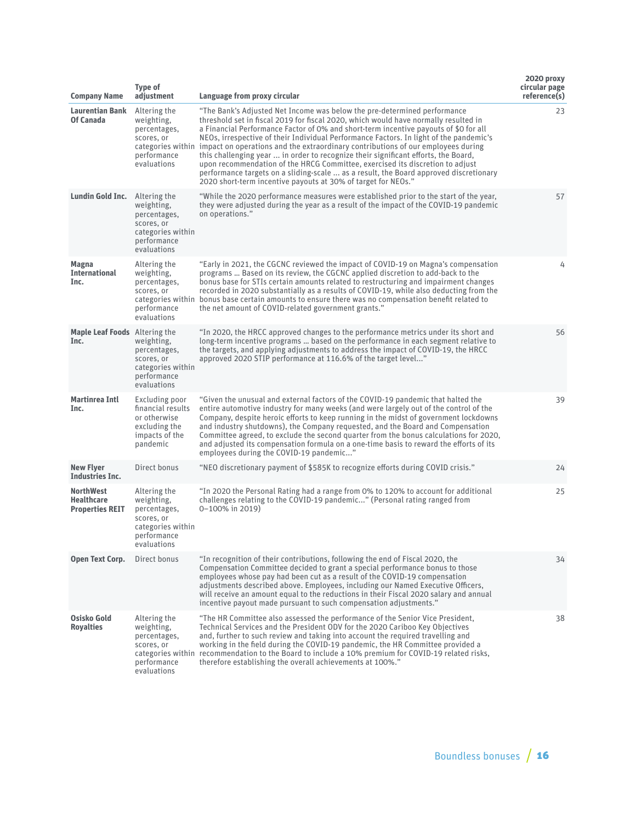| <b>Company Name</b>                                             | <b>Type of</b><br>adjustment                                                                                | Language from proxy circular                                                                                                                                                                                                                                                                                                                                                                                                                                                                                                                                                                                                                                                                                                                                                             | 2020 proxy<br>circular page<br>reference(s) |
|-----------------------------------------------------------------|-------------------------------------------------------------------------------------------------------------|------------------------------------------------------------------------------------------------------------------------------------------------------------------------------------------------------------------------------------------------------------------------------------------------------------------------------------------------------------------------------------------------------------------------------------------------------------------------------------------------------------------------------------------------------------------------------------------------------------------------------------------------------------------------------------------------------------------------------------------------------------------------------------------|---------------------------------------------|
| <b>Laurentian Bank</b><br>Of Canada                             | Altering the<br>weighting,<br>percentages,<br>scores, or<br>performance<br>evaluations                      | "The Bank's Adjusted Net Income was below the pre-determined performance<br>threshold set in fiscal 2019 for fiscal 2020, which would have normally resulted in<br>a Financial Performance Factor of 0% and short-term incentive payouts of \$0 for all<br>NEOs, irrespective of their Individual Performance Factors. In light of the pandemic's<br>categories within impact on operations and the extraordinary contributions of our employees during<br>this challenging year  in order to recognize their significant efforts, the Board,<br>upon recommendation of the HRCG Committee, exercised its discretion to adjust<br>performance targets on a sliding-scale  as a result, the Board approved discretionary<br>2020 short-term incentive payouts at 30% of target for NEOs." | 23                                          |
| <b>Lundin Gold Inc.</b>                                         | Altering the<br>weighting,<br>percentages,<br>scores, or<br>categories within<br>performance<br>evaluations | "While the 2020 performance measures were established prior to the start of the year,<br>they were adjusted during the year as a result of the impact of the COVID-19 pandemic<br>on operations."                                                                                                                                                                                                                                                                                                                                                                                                                                                                                                                                                                                        | 57                                          |
| <b>Magna</b><br><b>International</b><br>Inc.                    | Altering the<br>weighting,<br>percentages,<br>scores, or<br>performance<br>evaluations                      | "Early in 2021, the CGCNC reviewed the impact of COVID-19 on Magna's compensation<br>programs  Based on its review, the CGCNC applied discretion to add-back to the<br>bonus base for STIs certain amounts related to restructuring and impairment changes<br>recorded in 2020 substantially as a results of COVID-19, while also deducting from the<br>categories within bonus base certain amounts to ensure there was no compensation benefit related to<br>the net amount of COVID-related government grants."                                                                                                                                                                                                                                                                       | 4                                           |
| <b>Maple Leaf Foods</b> Altering the<br>Inc.                    | weighting,<br>percentages,<br>scores, or<br>categories within<br>performance<br>evaluations                 | "In 2020, the HRCC approved changes to the performance metrics under its short and<br>long-term incentive programs  based on the performance in each segment relative to<br>the targets, and applying adjustments to address the impact of COVID-19, the HRCC<br>approved 2020 STIP performance at 116.6% of the target level"                                                                                                                                                                                                                                                                                                                                                                                                                                                           | 56                                          |
| <b>Martinrea Intl</b><br>Inc.                                   | Excluding poor<br>financial results<br>or otherwise<br>excluding the<br>impacts of the<br>pandemic          | "Given the unusual and external factors of the COVID-19 pandemic that halted the<br>entire automotive industry for many weeks (and were largely out of the control of the<br>Company, despite heroic efforts to keep running in the midst of government lockdowns<br>and industry shutdowns), the Company requested, and the Board and Compensation<br>Committee agreed, to exclude the second quarter from the bonus calculations for 2020,<br>and adjusted its compensation formula on a one-time basis to reward the efforts of its<br>employees during the COVID-19 pandemic"                                                                                                                                                                                                        | 39                                          |
| <b>New Flyer</b><br><b>Industries Inc.</b>                      | Direct bonus                                                                                                | "NEO discretionary payment of \$585K to recognize efforts during COVID crisis."                                                                                                                                                                                                                                                                                                                                                                                                                                                                                                                                                                                                                                                                                                          | 24                                          |
| <b>NorthWest</b><br><b>Healthcare</b><br><b>Properties REIT</b> | Altering the<br>weighting,<br>percentages,<br>scores, or<br>categories within<br>performance<br>evaluations | "In 2020 the Personal Rating had a range from 0% to 120% to account for additional<br>challenges relating to the COVID-19 pandemic" (Personal rating ranged from<br>0-100% in 2019)                                                                                                                                                                                                                                                                                                                                                                                                                                                                                                                                                                                                      | 25                                          |
| Open Text Corp.                                                 | Direct bonus                                                                                                | "In recognition of their contributions, following the end of Fiscal 2020, the<br>Compensation Committee decided to grant a special performance bonus to those<br>employees whose pay had been cut as a result of the COVID-19 compensation<br>adjustments described above. Employees, including our Named Executive Officers,<br>will receive an amount equal to the reductions in their Fiscal 2020 salary and annual<br>incentive payout made pursuant to such compensation adjustments."                                                                                                                                                                                                                                                                                              | 34                                          |
| Osisko Gold<br><b>Royalties</b>                                 | Altering the<br>weighting,<br>percentages,<br>scores, or<br>performance<br>evaluations                      | "The HR Committee also assessed the performance of the Senior Vice President,<br>Technical Services and the President ODV for the 2020 Cariboo Key Objectives<br>and, further to such review and taking into account the required travelling and<br>working in the field during the COVID-19 pandemic, the HR Committee provided a<br>categories within recommendation to the Board to include a 10% premium for COVID-19 related risks,<br>therefore establishing the overall achievements at 100%."                                                                                                                                                                                                                                                                                    | 38                                          |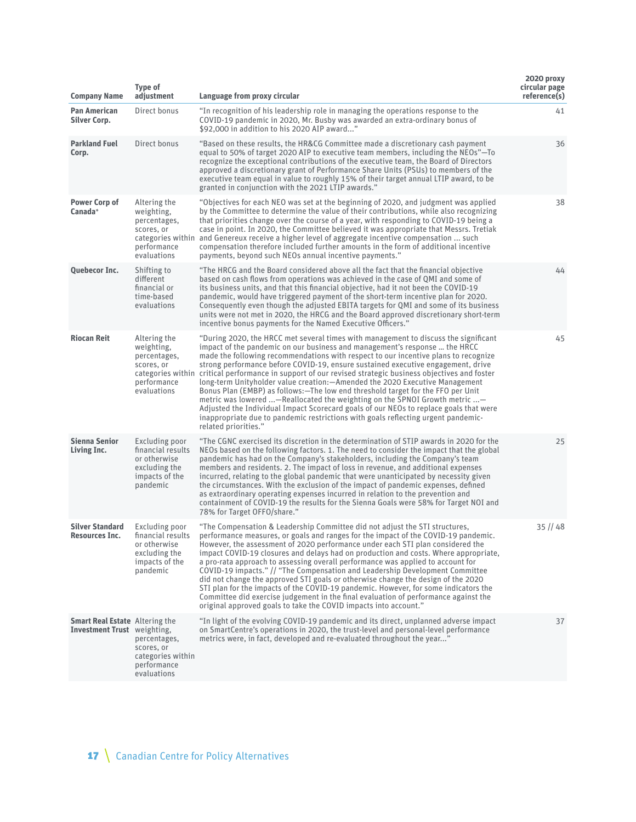| <b>Company Name</b>                                                  | Type of<br>adjustment                                                                              | Language from proxy circular                                                                                                                                                                                                                                                                                                                                                                                                                                                                                                                                                                                                                                                                                                                                                                                                                                                                                      | 2020 proxy<br>circular page<br>reference(s) |
|----------------------------------------------------------------------|----------------------------------------------------------------------------------------------------|-------------------------------------------------------------------------------------------------------------------------------------------------------------------------------------------------------------------------------------------------------------------------------------------------------------------------------------------------------------------------------------------------------------------------------------------------------------------------------------------------------------------------------------------------------------------------------------------------------------------------------------------------------------------------------------------------------------------------------------------------------------------------------------------------------------------------------------------------------------------------------------------------------------------|---------------------------------------------|
| <b>Pan American</b><br><b>Silver Corp.</b>                           | Direct bonus                                                                                       | "In recognition of his leadership role in managing the operations response to the<br>COVID-19 pandemic in 2020, Mr. Busby was awarded an extra-ordinary bonus of<br>\$92,000 in addition to his 2020 AIP award"                                                                                                                                                                                                                                                                                                                                                                                                                                                                                                                                                                                                                                                                                                   | 41                                          |
| <b>Parkland Fuel</b><br>Corp.                                        | Direct bonus                                                                                       | "Based on these results, the HR&CG Committee made a discretionary cash payment<br>equal to 50% of target 2020 AIP to executive team members, including the NEOs"—To<br>recognize the exceptional contributions of the executive team, the Board of Directors<br>approved a discretionary grant of Performance Share Units (PSUs) to members of the<br>executive team equal in value to roughly 15% of their target annual LTIP award, to be<br>granted in conjunction with the 2021 LTIP awards."                                                                                                                                                                                                                                                                                                                                                                                                                 | 36                                          |
| <b>Power Corp of</b><br>Canada*                                      | Altering the<br>weighting,<br>percentages,<br>scores, or<br>performance<br>evaluations             | "Objectives for each NEO was set at the beginning of 2020, and judgment was applied<br>by the Committee to determine the value of their contributions, while also recognizing<br>that priorities change over the course of a year, with responding to COVID-19 being a<br>case in point. In 2020, the Committee believed it was appropriate that Messrs. Tretiak<br>categories within and Genereux receive a higher level of aggregate incentive compensation  such<br>compensation therefore included further amounts in the form of additional incentive<br>payments, beyond such NEOs annual incentive payments."                                                                                                                                                                                                                                                                                              | 38                                          |
| <b>Quebecor Inc.</b>                                                 | Shifting to<br>different<br>financial or<br>time-based<br>evaluations                              | "The HRCG and the Board considered above all the fact that the financial objective<br>based on cash flows from operations was achieved in the case of QMI and some of<br>its business units, and that this financial objective, had it not been the COVID-19<br>pandemic, would have triggered payment of the short-term incentive plan for 2020.<br>Consequently even though the adjusted EBITA targets for QMI and some of its business<br>units were not met in 2020, the HRCG and the Board approved discretionary short-term<br>incentive bonus payments for the Named Executive Officers."                                                                                                                                                                                                                                                                                                                  | 44                                          |
| <b>Riocan Reit</b>                                                   | Altering the<br>weighting,<br>percentages,<br>scores, or<br>performance<br>evaluations             | "During 2020, the HRCC met several times with management to discuss the significant<br>impact of the pandemic on our business and management's response  the HRCC<br>made the following recommendations with respect to our incentive plans to recognize<br>strong performance before COVID-19, ensure sustained executive engagement, drive<br>categories within critical performance in support of our revised strategic business objectives and foster<br>long-term Unityholder value creation: - Amended the 2020 Executive Management<br>Bonus Plan (EMBP) as follows:—The low end threshold target for the FFO per Unit<br>metric was lowered —Reallocated the weighting on the SPNOI Growth metric —<br>Adjusted the Individual Impact Scorecard goals of our NEOs to replace goals that were<br>inappropriate due to pandemic restrictions with goals reflecting urgent pandemic-<br>related priorities." | 45                                          |
| <b>Sienna Senior</b><br>Living Inc.                                  | Excluding poor<br>financial results<br>or otherwise<br>excluding the<br>impacts of the<br>pandemic | "The CGNC exercised its discretion in the determination of STIP awards in 2020 for the<br>NEOs based on the following factors. 1. The need to consider the impact that the global<br>pandemic has had on the Company's stakeholders, including the Company's team<br>members and residents. 2. The impact of loss in revenue, and additional expenses<br>incurred, relating to the global pandemic that were unanticipated by necessity given<br>the circumstances. With the exclusion of the impact of pandemic expenses, defined<br>as extraordinary operating expenses incurred in relation to the prevention and<br>containment of COVID-19 the results for the Sienna Goals were 58% for Target NOI and<br>78% for Target OFFO/share."                                                                                                                                                                       | 25                                          |
| <b>Silver Standard</b><br>Resources Inc.                             | Excluding poor<br>financial results<br>or otherwise<br>excluding the<br>impacts of the<br>pandemic | "The Compensation & Leadership Committee did not adjust the STI structures,<br>performance measures, or goals and ranges for the impact of the COVID-19 pandemic.<br>However, the assessment of 2020 performance under each STI plan considered the<br>impact COVID-19 closures and delays had on production and costs. Where appropriate,<br>a pro-rata approach to assessing overall performance was applied to account for<br>COVID-19 impacts." // "The Compensation and Leadership Development Committee<br>did not change the approved STI goals or otherwise change the design of the 2020<br>STI plan for the impacts of the COVID-19 pandemic. However, for some indicators the<br>Committee did exercise judgement in the final evaluation of performance against the<br>original approved goals to take the COVID impacts into account."                                                               | $35$ // 48                                  |
| <b>Smart Real Estate</b> Altering the<br>Investment Trust weighting, | percentages,<br>scores, or<br>categories within<br>performance<br>evaluations                      | "In light of the evolving COVID-19 pandemic and its direct, unplanned adverse impact<br>on SmartCentre's operations in 2020, the trust-level and personal-level performance<br>metrics were, in fact, developed and re-evaluated throughout the year"                                                                                                                                                                                                                                                                                                                                                                                                                                                                                                                                                                                                                                                             | 37                                          |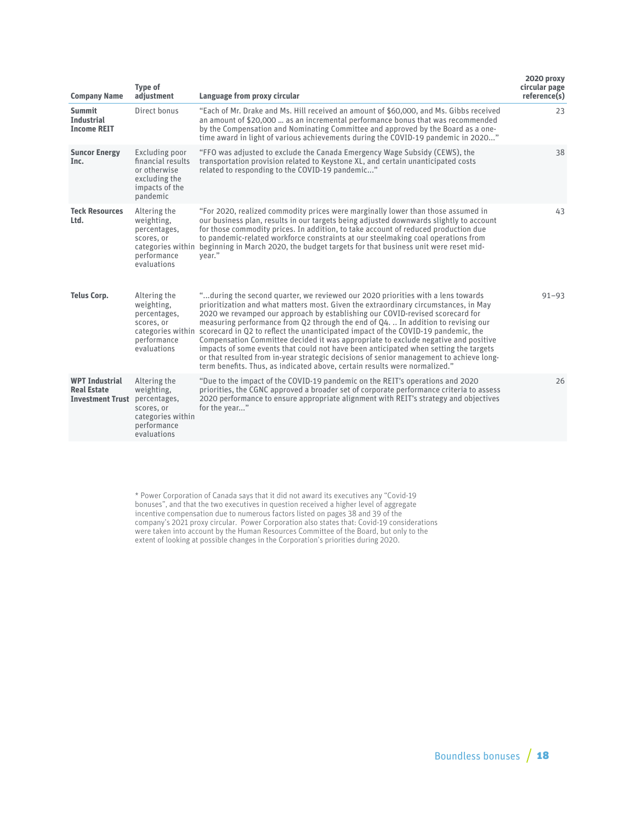| <b>Company Name</b>                                                    | <b>Type of</b><br>adjustment                                                                                | Language from proxy circular                                                                                                                                                                                                                                                                                                                                                                                                                                                                                                                                                                                                                                                                                                                                                                               | 2020 proxy<br>circular page<br>reference(s) |
|------------------------------------------------------------------------|-------------------------------------------------------------------------------------------------------------|------------------------------------------------------------------------------------------------------------------------------------------------------------------------------------------------------------------------------------------------------------------------------------------------------------------------------------------------------------------------------------------------------------------------------------------------------------------------------------------------------------------------------------------------------------------------------------------------------------------------------------------------------------------------------------------------------------------------------------------------------------------------------------------------------------|---------------------------------------------|
| <b>Summit</b><br><b>Industrial</b><br><b>Income REIT</b>               | Direct bonus                                                                                                | "Each of Mr. Drake and Ms. Hill received an amount of \$60,000, and Ms. Gibbs received<br>an amount of \$20,000  as an incremental performance bonus that was recommended<br>by the Compensation and Nominating Committee and approved by the Board as a one-<br>time award in light of various achievements during the COVID-19 pandemic in 2020"                                                                                                                                                                                                                                                                                                                                                                                                                                                         | 23                                          |
| <b>Suncor Energy</b><br>Inc.                                           | Excluding poor<br>financial results<br>or otherwise<br>excluding the<br>impacts of the<br>pandemic          | "FFO was adjusted to exclude the Canada Emergency Wage Subsidy (CEWS), the<br>transportation provision related to Keystone XL, and certain unanticipated costs<br>related to responding to the COVID-19 pandemic"                                                                                                                                                                                                                                                                                                                                                                                                                                                                                                                                                                                          | 38                                          |
| <b>Teck Resources</b><br>Ltd.                                          | Altering the<br>weighting,<br>percentages,<br>scores, or<br>performance<br>evaluations                      | "For 2020, realized commodity prices were marginally lower than those assumed in<br>our business plan, results in our targets being adjusted downwards slightly to account<br>for those commodity prices. In addition, to take account of reduced production due<br>to pandemic-related workforce constraints at our steelmaking coal operations from<br>categories within beginning in March 2020, the budget targets for that business unit were reset mid-<br>vear."                                                                                                                                                                                                                                                                                                                                    | 43                                          |
| <b>Telus Corp.</b>                                                     | Altering the<br>weighting,<br>percentages,<br>scores, or<br>performance<br>evaluations                      | "during the second quarter, we reviewed our 2020 priorities with a lens towards<br>prioritization and what matters most. Given the extraordinary circumstances, in May<br>2020 we revamped our approach by establishing our COVID-revised scorecard for<br>measuring performance from Q2 through the end of Q4.  In addition to revising our<br>categories within scorecard in Q2 to reflect the unanticipated impact of the COVID-19 pandemic, the<br>Compensation Committee decided it was appropriate to exclude negative and positive<br>impacts of some events that could not have been anticipated when setting the targets<br>or that resulted from in-year strategic decisions of senior management to achieve long-<br>term benefits. Thus, as indicated above, certain results were normalized." | $91 - 93$                                   |
| <b>WPT Industrial</b><br><b>Real Estate</b><br><b>Investment Trust</b> | Altering the<br>weighting,<br>percentages,<br>scores, or<br>categories within<br>performance<br>evaluations | "Due to the impact of the COVID-19 pandemic on the REIT's operations and 2020<br>priorities, the CGNC approved a broader set of corporate performance criteria to assess<br>2020 performance to ensure appropriate alignment with REIT's strategy and objectives<br>for the year"                                                                                                                                                                                                                                                                                                                                                                                                                                                                                                                          | 26                                          |

\* Power Corporation of Canada says that it did not award its executives any "Covid-19 bonuses", and that the two executives in question received a higher level of aggregate incentive compensation due to numerous factors listed on pages 38 and 39 of the company's 2021 proxy circular. Power Corporation also states that: Covid-19 considerations were taken into account by the Human Resources Committee of the Board, but only to the extent of looking at possible changes in the Corporation's priorities during 2020.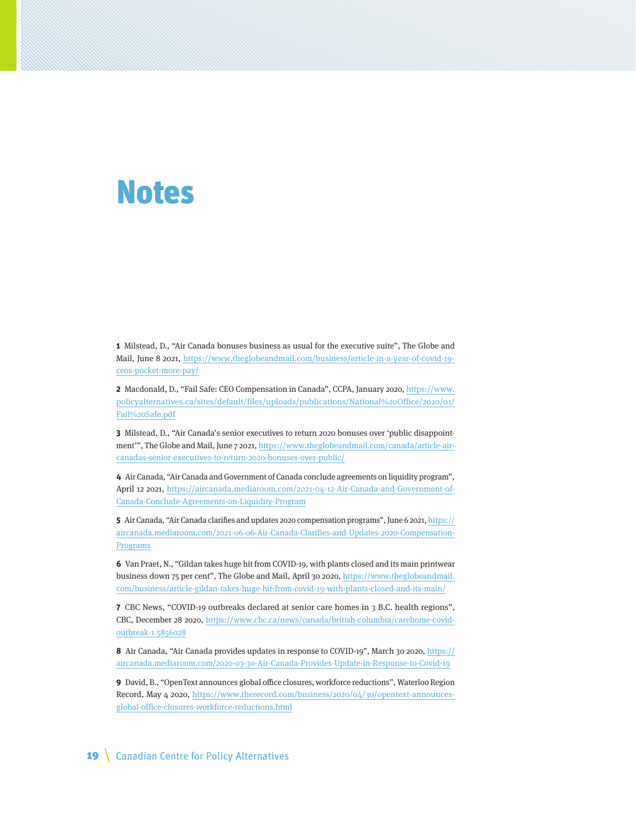## Notes

**1** Milstead, D., "Air Canada bonuses business as usual for the executive suite", The Globe and Mail, June 8 2021, https://www.theglobeandmail.com/business/article-in-a-year-of-covid-19 ceos-pocket-more-pay/

**2** Macdonald, D., "Fail Safe: CEO Compensation in Canada", CCPA, January 2020, https://www. policyalternatives.ca/sites/default/files/uploads/publications/National%20Office/2020/01/ Fail%20Safe.pdf

**3** Milstead, D., "Air Canada's senior executives to return 2020 bonuses over 'public disappointment", The Globe and Mail, June 7 2021, https://www.theglobeandmail.com/canada/article-aircanadas-senior-executives-to-return-2020-bonuses-over-public/

**4** Air Canada, "Air Canada and Government of Canada conclude agreements on liquidity program", April 12 2021, https://aircanada.mediaroom.com/2021-04-12-Air-Canada-and-Government-of-Canada-Conclude-Agreements-on-Liquidity-Program

**5** Air Canada, "Air Canada clarifies and updates 2020 compensation programs", June 6 2021, https:// aircanada.mediaroom.com/2021-06-06-Air-Canada-Clarifies-and-Updates-2020-Compensation-Programs

**6** Van Praet, N., "Gildan takes huge hit from COVID-19, with plants closed and its main printwear business down 75 per cent", The Globe and Mail, April 30 2020, https://www.theglobeandmail. com/business/article-gildan-takes-huge-hit-from-covid-19-with-plants-closed-and-its-main/

**7** CBC News, "COVID-19 outbreaks declared at senior care homes in 3 B.C. health regions", CBC, December 28 2020, https://www.cbc.ca/news/canada/british-columbia/carehome-covidoutbreak-1.5856028

**8** Air Canada, "Air Canada provides updates in response to COVID-19", March 30 2020, https:// aircanada.mediaroom.com/2020-03-30-Air-Canada-Provides-Update-in-Response-to-Covid-19

**9** David, B., "OpenText announces global office closures, workforce reductions", Waterloo Region Record, May 4 2020, https://www.therecord.com/business/2020/04/30/opentext-announcesglobal-office-closures-workforce-reductions.html

19 | Canadian Centre for Policy Alternatives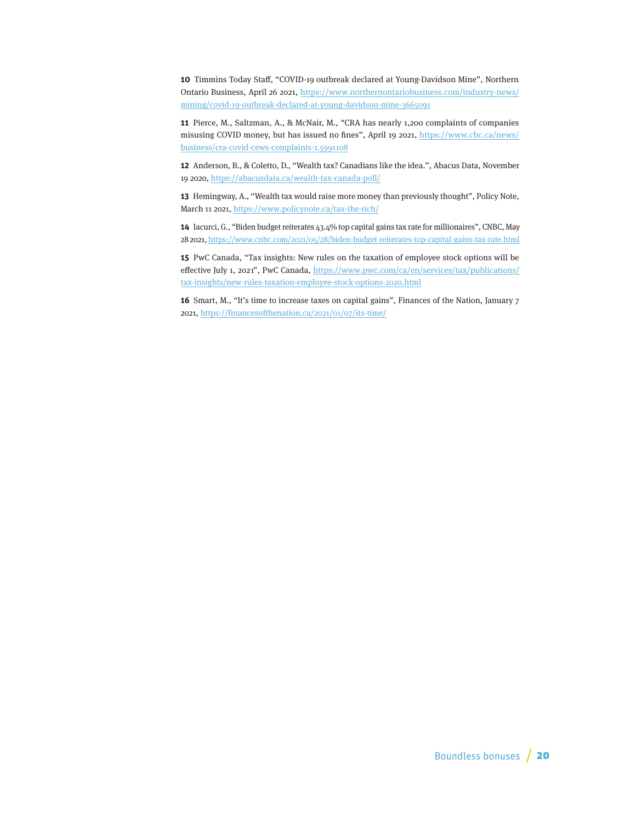**10** Timmins Today Staff, "COVID-19 outbreak declared at Young-Davidson Mine", Northern Ontario Business, April 26 2021, https://www.northernontariobusiness.com/industry-news/ mining/covid-19-outbreak-declared-at-young-davidson-mine-3665091

**11** Pierce, M., Saltzman, A., & McNair, M., "CRA has nearly 1,200 complaints of companies misusing COVID money, but has issued no fines", April 19 2021, https://www.cbc.ca/news/ business/cra-covid-cews-complaints-1.5991108

**12** Anderson, B., & Coletto, D., "Wealth tax? Canadians like the idea.", Abacus Data, November 19 2020, https://abacusdata.ca/wealth-tax-canada-poll/

**13** Hemingway, A., "Wealth tax would raise more money than previously thought", Policy Note, March 11 2021, https://www.policynote.ca/tax-the-rich/

**14** Iacurci, G., "Biden budget reiterates 43.4% top capital gains tax rate for millionaires", CNBC, May 28 2021, https://www.cnbc.com/2021/05/28/biden-budget-reiterates-top-capital-gains-tax-rate.html

**15** PwC Canada, "Tax insights: New rules on the taxation of employee stock options will be effective July 1, 2021", PwC Canada, https://www.pwc.com/ca/en/services/tax/publications/ tax-insights/new-rules-taxation-employee-stock-options-2020.html

**16** Smart, M., "It's time to increase taxes on capital gains", Finances of the Nation, January 7 2021, https://financesofthenation.ca/2021/01/07/its-time/